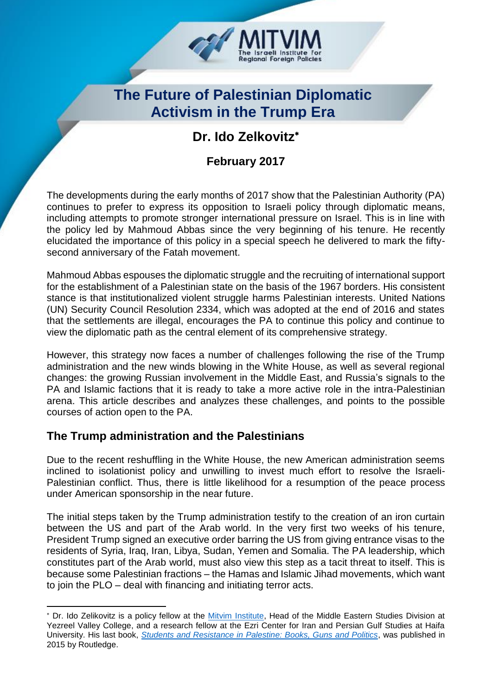

# **The Future of Palestinian Diplomatic Activism in the Trump Era**

# **Dr. Ido Zelkovitz**\*

## **February 2017**

The developments during the early months of 2017 show that the Palestinian Authority (PA) continues to prefer to express its opposition to Israeli policy through diplomatic means, including attempts to promote stronger international pressure on Israel. This is in line with the policy led by Mahmoud Abbas since the very beginning of his tenure. He recently elucidated the importance of this policy in a special speech he delivered to mark the fiftysecond anniversary of the Fatah movement.

Mahmoud Abbas espouses the diplomatic struggle and the recruiting of international support for the establishment of a Palestinian state on the basis of the 1967 borders. His consistent stance is that institutionalized violent struggle harms Palestinian interests. United Nations (UN) Security Council Resolution 2334, which was adopted at the end of 2016 and states that the settlements are illegal, encourages the PA to continue this policy and continue to view the diplomatic path as the central element of its comprehensive strategy.

However, this strategy now faces a number of challenges following the rise of the Trump administration and the new winds blowing in the White House, as well as several regional changes: the growing Russian involvement in the Middle East, and Russia's signals to the PA and Islamic factions that it is ready to take a more active role in the intra-Palestinian arena. This article describes and analyzes these challenges, and points to the possible courses of action open to the PA.

#### **The Trump administration and the Palestinians**

-

Due to the recent reshuffling in the White House, the new American administration seems inclined to isolationist policy and unwilling to invest much effort to resolve the Israeli-Palestinian conflict. Thus, there is little likelihood for a resumption of the peace process under American sponsorship in the near future.

The initial steps taken by the Trump administration testify to the creation of an iron curtain between the US and part of the Arab world. In the very first two weeks of his tenure, President Trump signed an executive order barring the US from giving entrance visas to the residents of Syria, Iraq, Iran, Libya, Sudan, Yemen and Somalia. The PA leadership, which constitutes part of the Arab world, must also view this step as a tacit threat to itself. This is because some Palestinian fractions – the Hamas and Islamic Jihad movements, which want to join the PLO – deal with financing and initiating terror acts.

<sup>\*</sup> Dr. Ido Zelikovitz is a policy fellow at the [Mitvim Institute,](http://www.mitvim.org.il/en) Head of the Middle Eastern Studies Division at Yezreel Valley College, and a research fellow at the Ezri Center for Iran and Persian Gulf Studies at Haifa University. His last book, *[Students and Resistance in Palestine: Books, Guns and Politics](https://www.amazon.com/Students-Resistance-Palestine-Routledge-Arab-Israeli/dp/1138802972?ie=UTF8&*Version*=1&*entries*=0)*, was published in 2015 by Routledge.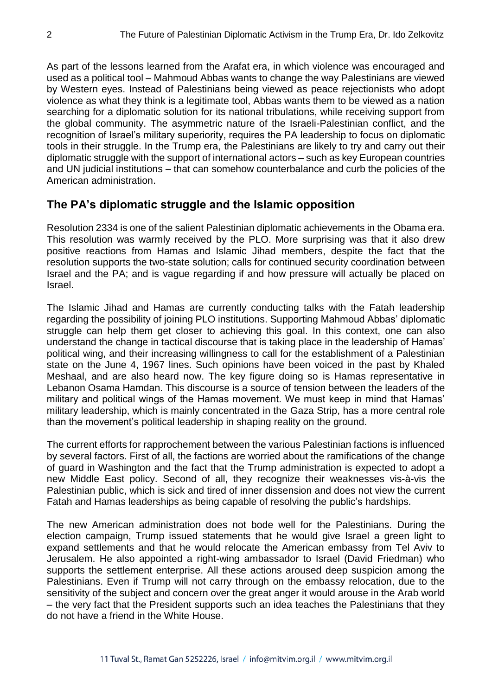As part of the lessons learned from the Arafat era, in which violence was encouraged and used as a political tool – Mahmoud Abbas wants to change the way Palestinians are viewed by Western eyes. Instead of Palestinians being viewed as peace rejectionists who adopt violence as what they think is a legitimate tool, Abbas wants them to be viewed as a nation searching for a diplomatic solution for its national tribulations, while receiving support from the global community. The asymmetric nature of the Israeli-Palestinian conflict, and the recognition of Israel's military superiority, requires the PA leadership to focus on diplomatic tools in their struggle. In the Trump era, the Palestinians are likely to try and carry out their diplomatic struggle with the support of international actors – such as key European countries and UN judicial institutions – that can somehow counterbalance and curb the policies of the American administration.

#### **The PA's diplomatic struggle and the Islamic opposition**

Resolution 2334 is one of the salient Palestinian diplomatic achievements in the Obama era. This resolution was warmly received by the PLO. More surprising was that it also drew positive reactions from Hamas and Islamic Jihad members, despite the fact that the resolution supports the two-state solution; calls for continued security coordination between Israel and the PA; and is vague regarding if and how pressure will actually be placed on Israel.

The Islamic Jihad and Hamas are currently conducting talks with the Fatah leadership regarding the possibility of joining PLO institutions. Supporting Mahmoud Abbas' diplomatic struggle can help them get closer to achieving this goal. In this context, one can also understand the change in tactical discourse that is taking place in the leadership of Hamas' political wing, and their increasing willingness to call for the establishment of a Palestinian state on the June 4, 1967 lines. Such opinions have been voiced in the past by Khaled Meshaal, and are also heard now. The key figure doing so is Hamas representative in Lebanon Osama Hamdan. This discourse is a source of tension between the leaders of the military and political wings of the Hamas movement. We must keep in mind that Hamas' military leadership, which is mainly concentrated in the Gaza Strip, has a more central role than the movement's political leadership in shaping reality on the ground.

The current efforts for rapprochement between the various Palestinian factions is influenced by several factors. First of all, the factions are worried about the ramifications of the change of guard in Washington and the fact that the Trump administration is expected to adopt a new Middle East policy. Second of all, they recognize their weaknesses vis-à-vis the Palestinian public, which is sick and tired of inner dissension and does not view the current Fatah and Hamas leaderships as being capable of resolving the public's hardships.

The new American administration does not bode well for the Palestinians. During the election campaign, Trump issued statements that he would give Israel a green light to expand settlements and that he would relocate the American embassy from Tel Aviv to Jerusalem. He also appointed a right-wing ambassador to Israel (David Friedman) who supports the settlement enterprise. All these actions aroused deep suspicion among the Palestinians. Even if Trump will not carry through on the embassy relocation, due to the sensitivity of the subject and concern over the great anger it would arouse in the Arab world – the very fact that the President supports such an idea teaches the Palestinians that they do not have a friend in the White House.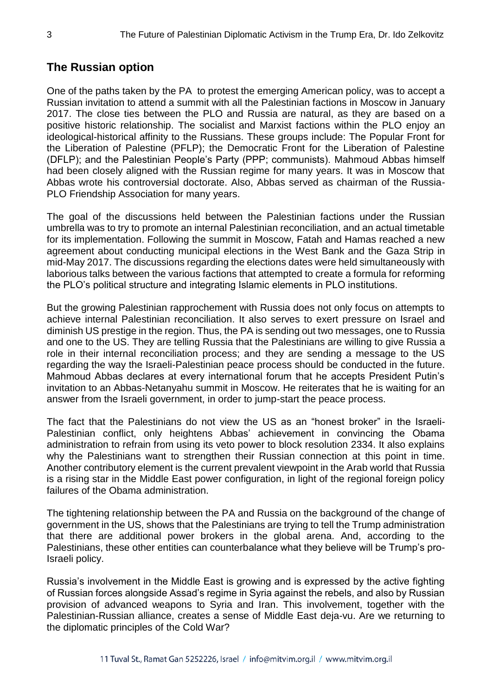### **The Russian option**

One of the paths taken by the PA to protest the emerging American policy, was to accept a Russian invitation to attend a summit with all the Palestinian factions in Moscow in January 2017. The close ties between the PLO and Russia are natural, as they are based on a positive historic relationship. The socialist and Marxist factions within the PLO enjoy an ideological-historical affinity to the Russians. These groups include: The Popular Front for the Liberation of Palestine (PFLP); the Democratic Front for the Liberation of Palestine (DFLP); and the Palestinian People's Party (PPP; communists). Mahmoud Abbas himself had been closely aligned with the Russian regime for many years. It was in Moscow that Abbas wrote his controversial doctorate. Also, Abbas served as chairman of the Russia-PLO Friendship Association for many years.

The goal of the discussions held between the Palestinian factions under the Russian umbrella was to try to promote an internal Palestinian reconciliation, and an actual timetable for its implementation. Following the summit in Moscow, Fatah and Hamas reached a new agreement about conducting municipal elections in the West Bank and the Gaza Strip in mid-May 2017. The discussions regarding the elections dates were held simultaneously with laborious talks between the various factions that attempted to create a formula for reforming the PLO's political structure and integrating Islamic elements in PLO institutions.

But the growing Palestinian rapprochement with Russia does not only focus on attempts to achieve internal Palestinian reconciliation. It also serves to exert pressure on Israel and diminish US prestige in the region. Thus, the PA is sending out two messages, one to Russia and one to the US. They are telling Russia that the Palestinians are willing to give Russia a role in their internal reconciliation process; and they are sending a message to the US regarding the way the Israeli-Palestinian peace process should be conducted in the future. Mahmoud Abbas declares at every international forum that he accepts President Putin's invitation to an Abbas-Netanyahu summit in Moscow. He reiterates that he is waiting for an answer from the Israeli government, in order to jump-start the peace process.

The fact that the Palestinians do not view the US as an "honest broker" in the Israeli-Palestinian conflict, only heightens Abbas' achievement in convincing the Obama administration to refrain from using its veto power to block resolution 2334. It also explains why the Palestinians want to strengthen their Russian connection at this point in time. Another contributory element is the current prevalent viewpoint in the Arab world that Russia is a rising star in the Middle East power configuration, in light of the regional foreign policy failures of the Obama administration.

The tightening relationship between the PA and Russia on the background of the change of government in the US, shows that the Palestinians are trying to tell the Trump administration that there are additional power brokers in the global arena. And, according to the Palestinians, these other entities can counterbalance what they believe will be Trump's pro-Israeli policy.

Russia's involvement in the Middle East is growing and is expressed by the active fighting of Russian forces alongside Assad's regime in Syria against the rebels, and also by Russian provision of advanced weapons to Syria and Iran. This involvement, together with the Palestinian-Russian alliance, creates a sense of Middle East deja-vu. Are we returning to the diplomatic principles of the Cold War?